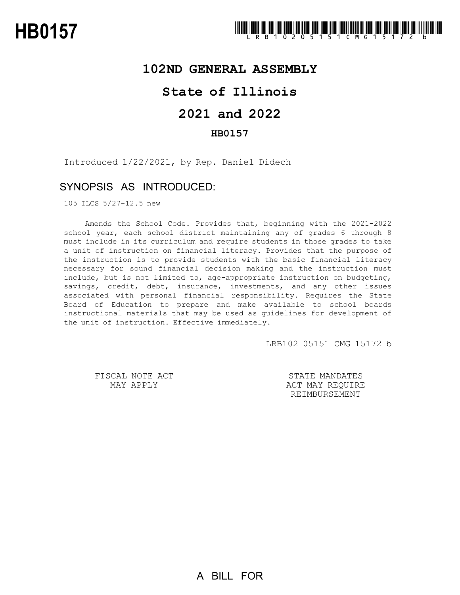### **102ND GENERAL ASSEMBLY**

## **State of Illinois**

# **2021 and 2022**

### **HB0157**

Introduced 1/22/2021, by Rep. Daniel Didech

## SYNOPSIS AS INTRODUCED:

105 ILCS 5/27-12.5 new

Amends the School Code. Provides that, beginning with the 2021-2022 school year, each school district maintaining any of grades 6 through 8 must include in its curriculum and require students in those grades to take a unit of instruction on financial literacy. Provides that the purpose of the instruction is to provide students with the basic financial literacy necessary for sound financial decision making and the instruction must include, but is not limited to, age-appropriate instruction on budgeting, savings, credit, debt, insurance, investments, and any other issues associated with personal financial responsibility. Requires the State Board of Education to prepare and make available to school boards instructional materials that may be used as guidelines for development of the unit of instruction. Effective immediately.

LRB102 05151 CMG 15172 b

FISCAL NOTE ACT MAY APPLY

STATE MANDATES ACT MAY REQUIRE REIMBURSEMENT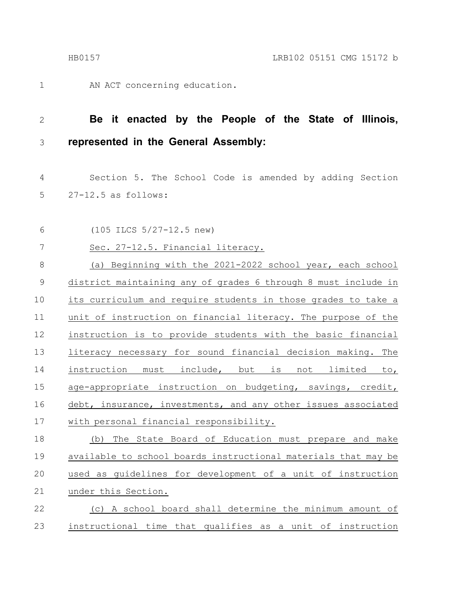1

AN ACT concerning education.

#### **Be it enacted by the People of the State of Illinois, represented in the General Assembly:** 2 3

Section 5. The School Code is amended by adding Section 27-12.5 as follows: 4 5

(105 ILCS 5/27-12.5 new) 6

Sec. 27-12.5. Financial literacy. 7

(a) Beginning with the 2021-2022 school year, each school district maintaining any of grades 6 through 8 must include in its curriculum and require students in those grades to take a unit of instruction on financial literacy. The purpose of the instruction is to provide students with the basic financial literacy necessary for sound financial decision making. The instruction must include, but is not limited to, age-appropriate instruction on budgeting, savings, credit, debt, insurance, investments, and any other issues associated with personal financial responsibility. 8 9 10 11 12 13 14 15 16 17

(b) The State Board of Education must prepare and make available to school boards instructional materials that may be used as guidelines for development of a unit of instruction under this Section. 18 19 20 21

(c) A school board shall determine the minimum amount of instructional time that qualifies as a unit of instruction 22 23